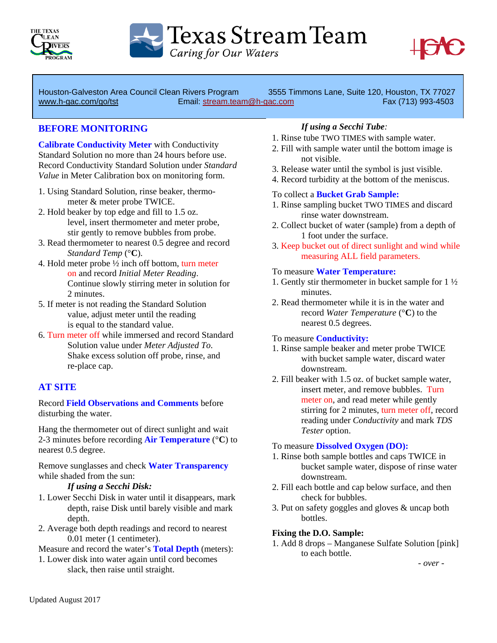

Texas Stream Team

Caring for Our Waters



Houston-Galveston Area Council Clean Rivers Program 3555 Timmons Lane, Suite 120, Houston, TX 77027 www.h-gac.com/go/tst Email: stream.team@h-gac.com Fax (713) 993-4503

## **BEFORE MONITORING**

**Calibrate Conductivity Meter** with Conductivity Standard Solution no more than 24 hours before use. Record Conductivity Standard Solution under *Standard Value* in Meter Calibration box on monitoring form.

- 1. Using Standard Solution, rinse beaker, thermo meter & meter probe TWICE.
- 2. Hold beaker by top edge and fill to 1.5 oz. level, insert thermometer and meter probe, stir gently to remove bubbles from probe.
- 3. Read thermometer to nearest 0.5 degree and record *Standard Temp* (°**C**).
- 4. Hold meter probe ½ inch off bottom, turn meter on and record *Initial Meter Reading*. Continue slowly stirring meter in solution for 2 minutes.
- 5. If meter is not reading the Standard Solution value, adjust meter until the reading is equal to the standard value.
- 6. Turn meter off while immersed and record Standard Solution value under *Meter Adjusted To*. Shake excess solution off probe, rinse, and re-place cap.

# **AT SITE**

Record **Field Observations and Comments** before disturbing the water.

Hang the thermometer out of direct sunlight and wait 2-3 minutes before recording **Air Temperature** (°**C**) to nearest 0.5 degree.

Remove sunglasses and check **Water Transparency** while shaded from the sun:

#### *If using a Secchi Disk:*

- 1. Lower Secchi Disk in water until it disappears, mark depth, raise Disk until barely visible and mark depth.
- 2. Average both depth readings and record to nearest 0.01 meter (1 centimeter).

Measure and record the water's **Total Depth** (meters):

1. Lower disk into water again until cord becomes slack, then raise until straight.

## *If using a Secchi Tube:*

- 1. Rinse tube TWO TIMES with sample water.
- 2. Fill with sample water until the bottom image is not visible.
- 3. Release water until the symbol is just visible.
- 4. Record turbidity at the bottom of the meniscus.

### To collect a **Bucket Grab Sample:**

- 1. Rinse sampling bucket TWO TIMES and discard rinse water downstream.
- 2. Collect bucket of water (sample) from a depth of 1 foot under the surface.
- 3. Keep bucket out of direct sunlight and wind while measuring ALL field parameters.

#### To measure **Water Temperature:**

- 1. Gently stir thermometer in bucket sample for 1 ½ minutes.
- 2. Read thermometer while it is in the water and record *Water Temperature* (°**C**) to the nearest 0.5 degrees.

#### To measure **Conductivity:**

- 1. Rinse sample beaker and meter probe TWICE with bucket sample water, discard water downstream.
- 2. Fill beaker with 1.5 oz. of bucket sample water, insert meter, and remove bubbles. Turn meter on, and read meter while gently stirring for 2 minutes, turn meter off, record reading under *Conductivity* and mark *TDS Tester* option.

#### To measure **Dissolved Oxygen (DO):**

- 1. Rinse both sample bottles and caps TWICE in bucket sample water, dispose of rinse water downstream.
- 2. Fill each bottle and cap below surface, and then check for bubbles.
- 3. Put on safety goggles and gloves & uncap both bottles.

#### **Fixing the D.O. Sample:**

1. Add 8 drops – Manganese Sulfate Solution [pink] to each bottle.

*- over -*